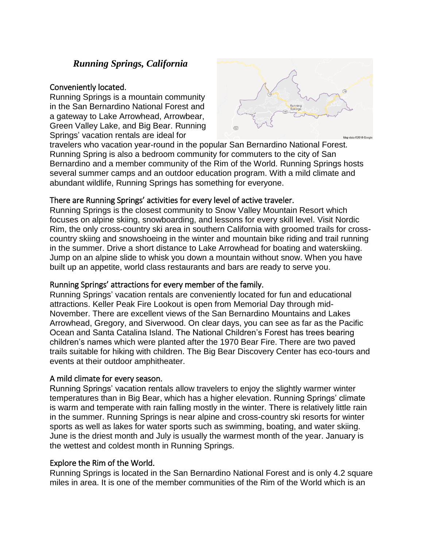# *Running Springs, California*

#### Conveniently located.

Running Springs is a mountain community in the San Bernardino National Forest and a gateway to Lake Arrowhead, Arrowbear, Green Valley Lake, and Big Bear. Running Springs' vacation rentals are ideal for



travelers who vacation year-round in the popular San Bernardino National Forest. Running Spring is also a bedroom community for commuters to the city of San Bernardino and a member community of the Rim of the World. Running Springs hosts several summer camps and an outdoor education program. With a mild climate and abundant wildlife, Running Springs has something for everyone.

### There are Running Springs' activities for every level of active traveler.

Running Springs is the closest community to Snow Valley Mountain Resort which focuses on alpine skiing, snowboarding, and lessons for every skill level. Visit Nordic Rim, the only cross-country ski area in southern California with groomed trails for crosscountry skiing and snowshoeing in the winter and mountain bike riding and trail running in the summer. Drive a short distance to Lake Arrowhead for boating and waterskiing. Jump on an alpine slide to whisk you down a mountain without snow. When you have built up an appetite, world class restaurants and bars are ready to serve you.

### Running Springs' attractions for every member of the family.

Running Springs' vacation rentals are conveniently located for fun and educational attractions. Keller Peak Fire Lookout is open from Memorial Day through mid-November. There are excellent views of the San Bernardino Mountains and Lakes Arrowhead, Gregory, and Siverwood. On clear days, you can see as far as the Pacific Ocean and Santa Catalina Island. The National Children's Forest has trees bearing children's names which were planted after the 1970 Bear Fire. There are two paved trails suitable for hiking with children. The Big Bear Discovery Center has eco-tours and events at their outdoor amphitheater.

## A mild climate for every season.

Running Springs' vacation rentals allow travelers to enjoy the slightly warmer winter temperatures than in Big Bear, which has a higher elevation. Running Springs' climate is warm and temperate with rain falling mostly in the winter. There is relatively little rain in the summer. Running Springs is near alpine and cross-country ski resorts for winter sports as well as lakes for water sports such as swimming, boating, and water skiing. June is the driest month and July is usually the warmest month of the year. January is the wettest and coldest month in Running Springs.

## Explore the Rim of the World.

Running Springs is located in the San Bernardino National Forest and is only 4.2 square miles in area. It is one of the member communities of the Rim of the World which is an